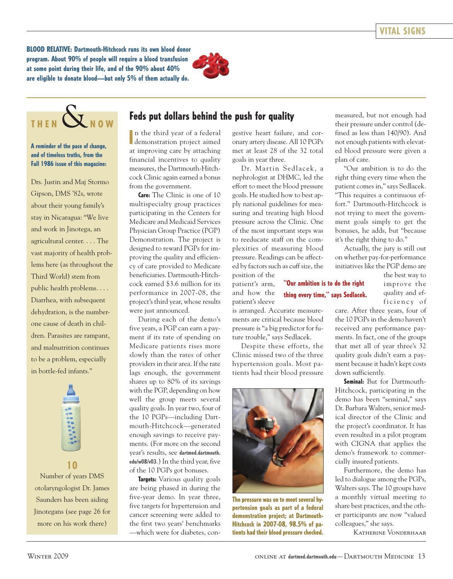**BLOOD RELATIVE: Dartmouth-Hitchcock runs its own blood donor program. About 90% of people will require a blood transfusion at some point during their life, and of the 90% about 40% are eligible to donate blood—but only 5% of them actually do.**



# $THEN$  $X_{N01}$

#### **A reminder of the pace of change, and of timeless truths, from the Fall 1986 issue of this magazine:**

Drs. Justin and Maj Stormo Gipson, DMS '82s, wrote about their young family's stay in Nicaragua: "We live and work in Jinotega, an agricultural center. . . . The vast majority of health problems here (as throughout the Third World) stem from public health problems. . . . Diarrhea, with subsequent dehydration, is the numberone cause of death in children. Parasites are rampant, and malnutrition continues to be a problem, especially in bottle-fed infants."



Number of years DMS otolaryngologist Dr. James Saunders has been aiding Jinotegans (see page 26 for more on his work there)

**10**

## Feds put dollars behind the push for quality **measured, but not enough had**

In the third year of a federal<br>demonstration project aimed n the third year of a federal at improving care by attaching financial incentives to quality measures, the Dartmouth-Hitchcock Clinic again earned a bonus from the government.

**Care:** The Clinic is one of 10 multispecialty group practices participating in the Centers for Medicare and Medicaid Services Physician Group Practice (PGP) Demonstration. The project is designed to reward PGPs for improving the quality and efficiency of care provided to Medicare beneficiaries. Dartmouth-Hitchcock earned \$3.6 million for its performance in 2007-08, the project's third year, whose results were just announced.

During each of the demo's five years, a PGP can earn a payment if its rate of spending on Medicare patients rises more slowly than the rates of other providers in their area. If the rate lags enough, the government shares up to 80% of its savings with the PGP, depending on how well the group meets several quality goals. In year two, four of the 10 PGPs—including Dartmouth-Hitchcock—generated enough savings to receive payments. (For more on the second year's results, see **dartmed.dartmouth. edu/w08/v03**.) In the third year, five of the 10 PGPs got bonuses.

**Targets:** Various quality goals are being phased in during the five-year demo. In year three, five targets for hypertension and cancer screening were added to the first two years' benchmarks —which were for diabetes, con-

gestive heart failure, and coronary artery disease. All 10 PGPs met at least 28 of the 32 total goals in year three.

Dr. Martin Sedlacek, a nephrologist at DHMC, led the effort to meet the blood pressure goals. He studied how to best apply national guidelines for measuring and treating high blood pressure across the Clinic. One of the most important steps was to reeducate staff on the complexities of measuring blood pressure. Readings can be affected by factors such as cuff size, the position of the

patient's arm, and how the patient's sleeve **"Our ambition is to do the right thing every time," says Sedlacek.**

is arranged. Accurate measurements are critical because blood pressure is "a big predictor for future trouble," says Sedlacek.

Despite these efforts, the Clinic missed two of the three hypertension goals. Most patients had their blood pressure



**The pressure was on to meet several hypertension goals as part of a federal demonstration project; at Dartmouth-Hitchcock in 2007-08, 98.5% of patients had their blood pressure checked.**

their pressure under control (defined as less than 140/90). And not enough patients with elevated blood pressure were given a plan of care.

"Our ambition is to do the right thing every time when the patient comes in," says Sedlacek. "This requires a continuous effort." Dartmouth-Hitchcock is not trying to meet the government goals simply to get the bonuses, he adds, but "because it's the right thing to do."

Actually, the jury is still out on whether pay-for-performance initiatives like the PGP demo are

> the best way to improve the quality and efficiency of

care. After three years, four of the 10 PGPs in the demo haven't received any performance payments. In fact, one of the groups that met all of year three's 32 quality goals didn't earn a payment because it hadn't kept costs down sufficiently.

**Seminal:** But for Dartmouth-Hitchcock, participating in the demo has been "seminal," says Dr. Barbara Walters, senior medical director of the Clinic and the project's coordinator. It has even resulted in a pilot program with CIGNA that applies the demo's framework to commercially insured patients.

Furthermore, the demo has led to dialogue among the PGPs, Walters says. The 10 groups have a monthly virtual meeting to share best practices, and the other participants are now "valued colleagues," she says.

Katherine Vonderhaar